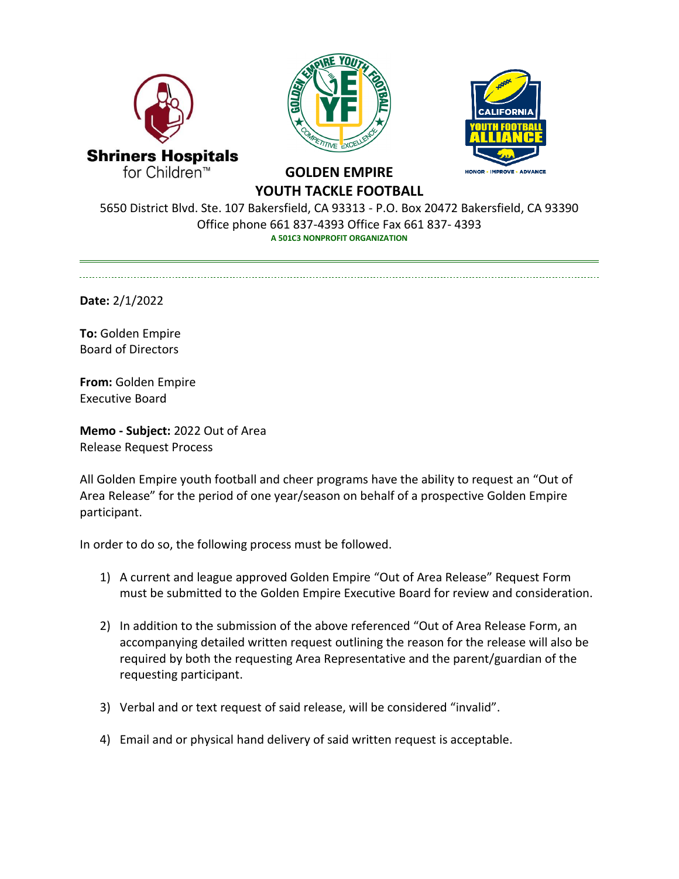





## **GOLDEN EMPIRE YOUTH TACKLE FOOTBALL**

5650 District Blvd. Ste. 107 Bakersfield, CA 93313 - P.O. Box 20472 Bakersfield, CA 93390 Office phone 661 837-4393 Office Fax 661 837- 4393 **A 501C3 NONPROFIT ORGANIZATION**

**Date:** 2/1/2022

 $\overline{a}$ 

**To:** Golden Empire Board of Directors

**From:** Golden Empire Executive Board

**Memo - Subject:** 2022 Out of Area Release Request Process

All Golden Empire youth football and cheer programs have the ability to request an "Out of Area Release" for the period of one year/season on behalf of a prospective Golden Empire participant.

In order to do so, the following process must be followed.

- 1) A current and league approved Golden Empire "Out of Area Release" Request Form must be submitted to the Golden Empire Executive Board for review and consideration.
- 2) In addition to the submission of the above referenced "Out of Area Release Form, an accompanying detailed written request outlining the reason for the release will also be required by both the requesting Area Representative and the parent/guardian of the requesting participant.
- 3) Verbal and or text request of said release, will be considered "invalid".
- 4) Email and or physical hand delivery of said written request is acceptable.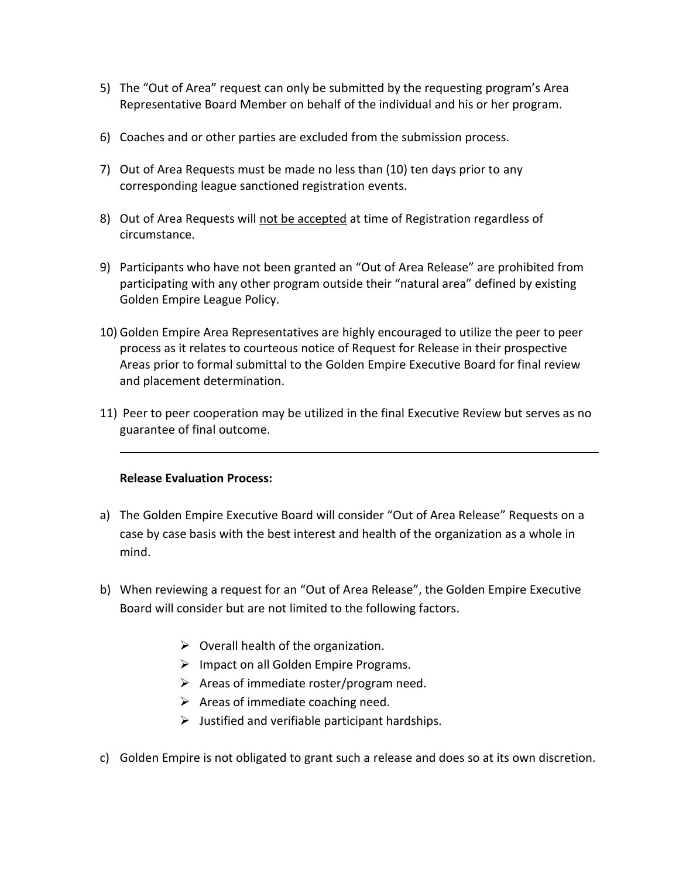- 5) The "Out of Area" request can only be submitted by the requesting program's Area Representative Board Member on behalf of the individual and his or her program.
- 6) Coaches and or other parties are excluded from the submission process.
- 7) Out of Area Requests must be made no less than (10) ten days prior to any corresponding league sanctioned registration events.
- 8) Out of Area Requests will not be accepted at time of Registration regardless of circumstance.
- 9) Participants who have not been granted an "Out of Area Release" are prohibited from participating with any other program outside their "natural area" defined by existing Golden Empire League Policy.
- 10) Golden Empire Area Representatives are highly encouraged to utilize the peer to peer process as it relates to courteous notice of Request for Release in their prospective Areas prior to formal submittal to the Golden Empire Executive Board for final review and placement determination.
- 11) Peer to peer cooperation may be utilized in the final Executive Review but serves as no guarantee of final outcome.

## **Release Evaluation Process:**

- a) The Golden Empire Executive Board will consider "Out of Area Release" Requests on a case by case basis with the best interest and health of the organization as a whole in mind.
- b) When reviewing a request for an "Out of Area Release", the Golden Empire Executive Board will consider but are not limited to the following factors.
	- $\triangleright$  Overall health of the organization.
	- $\triangleright$  Impact on all Golden Empire Programs.
	- $\triangleright$  Areas of immediate roster/program need.
	- $\triangleright$  Areas of immediate coaching need.
	- $\triangleright$  Justified and verifiable participant hardships.
- c) Golden Empire is not obligated to grant such a release and does so at its own discretion.